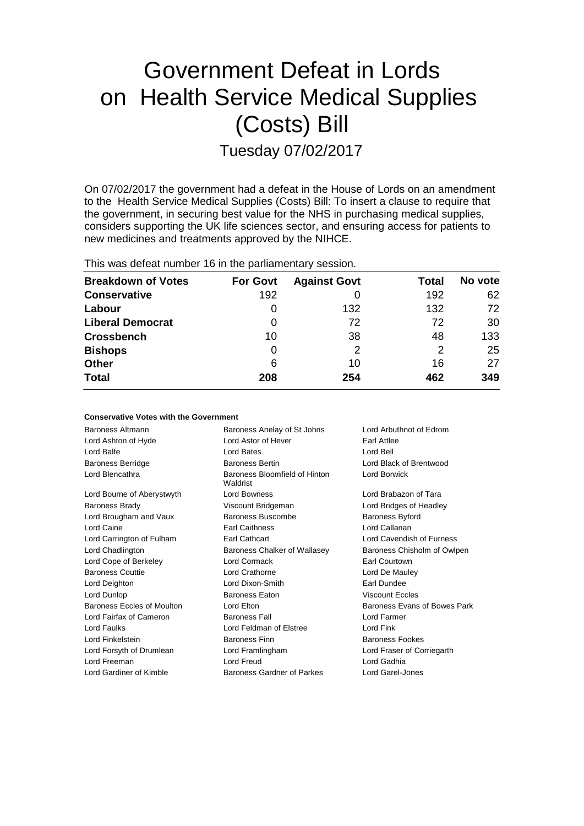# Government Defeat in Lords on Health Service Medical Supplies (Costs) Bill Tuesday 07/02/2017

On 07/02/2017 the government had a defeat in the House of Lords on an amendment to the Health Service Medical Supplies (Costs) Bill: To insert a clause to require that the government, in securing best value for the NHS in purchasing medical supplies, considers supporting the UK life sciences sector, and ensuring access for patients to new medicines and treatments approved by the NIHCE.

This was defeat number 16 in the parliamentary session.

| <b>Breakdown of Votes</b> | <b>For Govt</b> | <b>Against Govt</b> | Total | No vote |
|---------------------------|-----------------|---------------------|-------|---------|
| <b>Conservative</b>       | 192             |                     | 192   | 62      |
| Labour                    | O               | 132                 | 132   | 72      |
| <b>Liberal Democrat</b>   | 0               | 72                  | 72    | 30      |
| <b>Crossbench</b>         | 10              | 38                  | 48    | 133     |
| <b>Bishops</b>            | 0               |                     | 2     | 25      |
| Other                     | 6               | 10                  | 16    | 27      |
| <b>Total</b>              | 208             | 254                 | 462   | 349     |

| <b>Conservative Votes with the Government</b> |                                           |                              |  |  |  |
|-----------------------------------------------|-------------------------------------------|------------------------------|--|--|--|
| Baroness Altmann                              | Baroness Anelay of St Johns               | Lord Arbuthnot of Edrom      |  |  |  |
| Lord Ashton of Hyde                           | Lord Astor of Hever                       | <b>Farl Attlee</b>           |  |  |  |
| Lord Balfe                                    | Lord Bates                                | Lord Bell                    |  |  |  |
| <b>Baroness Berridge</b>                      | <b>Baroness Bertin</b>                    | Lord Black of Brentwood      |  |  |  |
| Lord Blencathra                               | Baroness Bloomfield of Hinton<br>Waldrist | <b>Lord Borwick</b>          |  |  |  |
| Lord Bourne of Aberystwyth                    | <b>Lord Bowness</b>                       | Lord Brabazon of Tara        |  |  |  |
| <b>Baroness Brady</b>                         | Viscount Bridgeman                        | Lord Bridges of Headley      |  |  |  |
| Lord Brougham and Vaux                        | Baroness Buscombe                         | <b>Baroness Byford</b>       |  |  |  |
| Lord Caine                                    | <b>Earl Caithness</b>                     | Lord Callanan                |  |  |  |
| Lord Carrington of Fulham                     | Earl Cathcart                             | Lord Cavendish of Furness    |  |  |  |
| Lord Chadlington                              | Baroness Chalker of Wallasey              | Baroness Chisholm of Owlpen  |  |  |  |
| Lord Cope of Berkeley                         | Lord Cormack                              | <b>Farl Courtown</b>         |  |  |  |
| <b>Baroness Couttie</b>                       | Lord Crathorne                            | Lord De Mauley               |  |  |  |
| Lord Deighton                                 | Lord Dixon-Smith                          | Farl Dundee                  |  |  |  |
| Lord Dunlop                                   | <b>Baroness Eaton</b>                     | <b>Viscount Eccles</b>       |  |  |  |
| Baroness Eccles of Moulton                    | Lord Elton                                | Baroness Evans of Bowes Park |  |  |  |
| Lord Fairfax of Cameron                       | <b>Baroness Fall</b>                      | Lord Farmer                  |  |  |  |
| Lord Faulks                                   | Lord Feldman of Elstree                   | Lord Fink                    |  |  |  |
| Lord Finkelstein                              | <b>Baroness Finn</b>                      | <b>Baroness Fookes</b>       |  |  |  |
| Lord Forsyth of Drumlean                      | Lord Framlingham                          | Lord Fraser of Corriegarth   |  |  |  |
| Lord Freeman                                  | <b>Lord Freud</b>                         | Lord Gadhia                  |  |  |  |
| Lord Gardiner of Kimble                       | Baroness Gardner of Parkes                | Lord Garel-Jones             |  |  |  |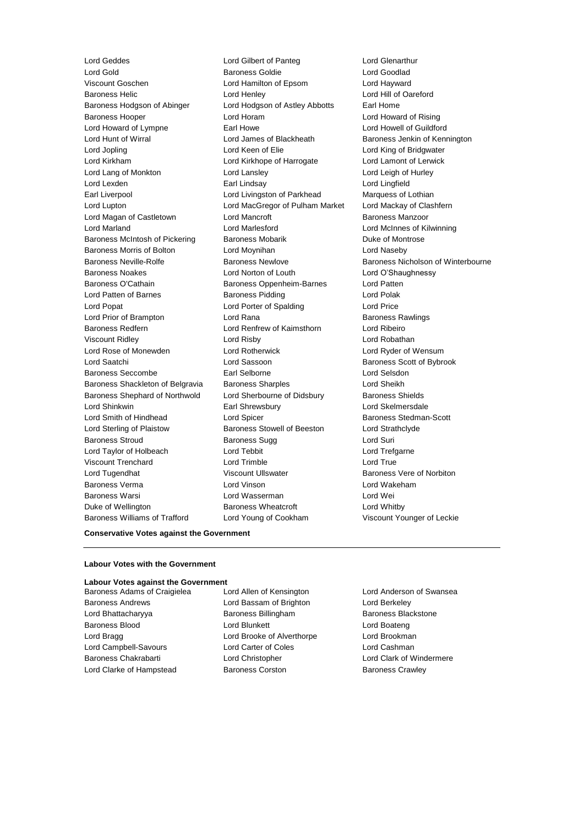Lord Geddes Lord Gilbert of Panteg Lord Glenarthur Lord Gold Baroness Goldie Lord Goodlad<br>
Viscount Goschen Corp Lord Hamilton of Epsom Lord Havward<br>
Lord Havard Lord Hamilton of Epsom Lord Havward Baroness Helic Lord Henley Lord Hill of Oareford Baroness Hodgson of Abinger Lord Hodgson of Astley Abbotts Earl Home Baroness Hooper Lord Horam Lord Howard of Rising Lord Howard of Lympne **Earl Howe** Earl Howe **Lord Howell of Guildford** Lord Hunt of Wirral **Lord James of Blackheath** Baroness Jenkin of Kennington Lord Jopling Lord Keen of Elie Lord King of Bridgwater Lord Kirkham Lord Kirkhope of Harrogate Lord Lamont of Lerwick Lord Lang of Monkton Lord Lansley Lord Leigh of Hurley Lord Lexden Earl Lindsay Lord Lingfield Earl Liverpool Lord Livingston of Parkhead Marquess of Lothian Lord Lupton Lord MacGregor of Pulham Market Lord Mackay of Clashfern Lord Magan of Castletown Lord Mancroft **Baroness Manzoor** Lord Marland Lord Marlesford Lord McInnes of Kilwinning Baroness McIntosh of Pickering Baroness Mobarik Baroness Mobaric Duke of Montrose Baroness Morris of Bolton Lord Moynihan Lord Naseby Baroness Noakes Lord Norton of Louth Lord O'Shaughnessy Baroness O'Cathain Baroness Oppenheim-Barnes Lord Patten Lord Patten of Barnes **Baroness Pidding Lord Polak** Lord Popat Lord Porter of Spalding Lord Price Lord Prior of Brampton **Communist Constructs** Lord Rana Baroness Rawlings **Baroness Rawlings** Baroness Redfern Lord Renfrew of Kaimsthorn Lord Ribeiro Viscount Ridley Lord Risby Lord Robathan Lord Rose of Monewden Lord Rotherwick Lord Ryder of Wensum Lord Saatchi Lord Sassoon Baroness Scott of Bybrook Baroness Seccombe Earl Selborne Lord Selsdon Baroness Shackleton of Belgravia Baroness Sharples Lord Sheikh Baroness Shephard of Northwold Lord Sherbourne of Didsbury Baroness Shields Lord Shinkwin Earl Shrewsbury Lord Skelmersdale Lord Smith of Hindhead Lord Spicer Communication Control Baroness Stedman-Scott Lord Sterling of Plaistow Baroness Stowell of Beeston Lord Strathclyde Baroness Stroud Baroness Sugg Lord Suri Lord Taylor of Holbeach Lord Tebbit Lord Trefgarne Viscount Trenchard Lord Trimble Lord True Lord Tugendhat **Viscount Ullswater** Baroness Vere of Norbiton Baroness Verma Lord Vinson Lord Wakeham Baroness Warsi Lord Wasserman Lord Wei Duke of Wellington **Baroness Wheatcroft Lord Whitby** Baroness Williams of Trafford Lord Young of Cookham Viscount Younger of Leckie

Lord Hamilton of Epsom Lord Hayward<br>
Lord Henley Lord Hill of Oa

Baroness Neville-Rolfe **Baroness Newlove** Baroness Newlove **Baroness Nicholson of Winterbourne** 

#### **Conservative Votes against the Government**

#### **Labour Votes with the Government**

#### **Labour Votes against the Government**

Baroness Andrews Lord Bassam of Brighton Lord Berkeley Lord Bhattacharyya **Baroness Billingham** Baroness Blackstone Baroness Blood **Lord Blunkett** Lord Boateng Lord Boateng Lord Bragg Lord Brooke of Alverthorpe Lord Brookman Lord Campbell-Savours Lord Carter of Coles Lord Cashman Baroness Chakrabarti Lord Christopher Lord Clark of Windermere Lord Clarke of Hampstead Baroness Corston Baroness Cassets Baroness Crawley

Baroness Adams of Craigielea Lord Allen of Kensington Lord Anderson of Swansea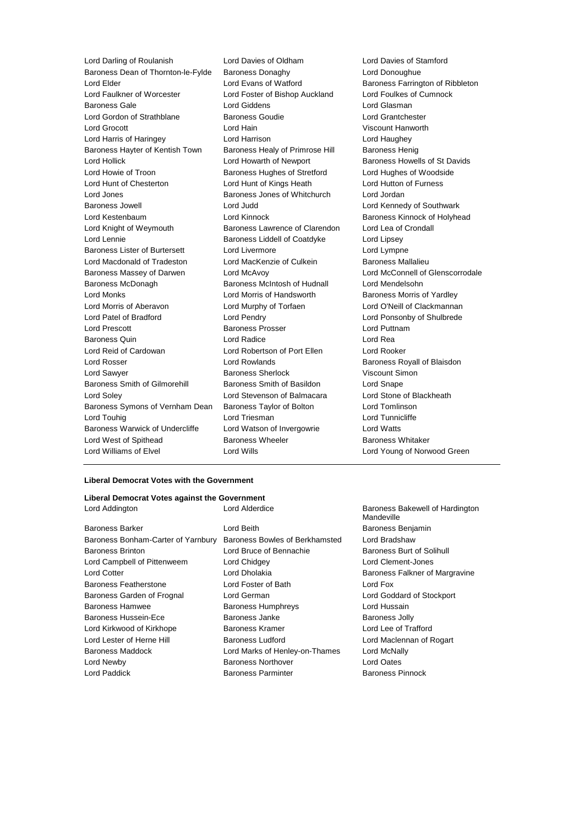Lord Darling of Roulanish Lord Davies of Oldham Lord Davies of Stamford Baroness Dean of Thornton-le-Fylde Baroness Donaghy Lord Donoughue Lord Elder Lord Evans of Watford Baroness Farrington of Ribbleton Lord Faulkner of Worcester Lord Foster of Bishop Auckland Lord Foulkes of Cumnock Baroness Gale Lord Giddens Lord Glasman Lord Gordon of Strathblane Baroness Goudie Lord Grantchester Lord Grocott Lord Hain Viscount Hanworth Lord Harris of Haringey Lord Harrison Lord Haughey Baroness Hayter of Kentish Town Baroness Healy of Primrose Hill Baroness Henig Lord Hollick Lord Howarth of Newport Baroness Howells of St Davids Lord Howie of Troon **Baroness Hughes of Stretford** Lord Hughes of Woodside Lord Hunt of Chesterton Lord Hunt of Kings Heath Lord Hutton of Furness Lord Jones **Baroness Jones of Whitchurch** Lord Jordan Lord Jordan Baroness Jowell **Lord Lord Judd** Lord Lord Lord Kennedy of Southwark Lord Kestenbaum Lord Kinnock Baroness Kinnock of Holyhead Lord Knight of Weymouth Baroness Lawrence of Clarendon Lord Lea of Crondall Lord Lennie Baroness Liddell of Coatdyke Lord Lipsey Baroness Lister of Burtersett Lord Livermore Lord Lympne Lord Macdonald of Tradeston Lord MacKenzie of Culkein Baroness Mallalieu Baroness Massey of Darwen Lord McAvoy Lord McConnell of Glenscorrodale Baroness McDonagh Baroness McIntosh of Hudnall Lord Mendelsohn Lord Monks **Lord Morris of Handsworth** Baroness Morris of Yardley Lord Morris of Aberavon Lord Murphy of Torfaen Lord O'Neill of Clackmannan Lord Patel of Bradford Lord Pendry Lord Ponsonby of Shulbrede Lord Prescott **Baroness Prosser** Cord Puttnam Baroness Quin **Lord Radice** Lord Radice **Lord Reading** Lord Reid of Cardowan Lord Robertson of Port Ellen Lord Rooker Lord Rosser **Lord Rowlands Baroness Royall of Blaisdon** Lord Sawyer Baroness Sherlock Viscount Simon Baroness Smith of Gilmorehill Baroness Smith of Basildon Lord Snape Lord Soley Lord Stevenson of Balmacara Lord Stone of Blackheath Baroness Symons of Vernham Dean Baroness Taylor of Bolton Lord Tomlinson Lord Touhig **Lord Triesman** Lord Triesman **Lord Tunnicliffe** Baroness Warwick of Undercliffe Lord Watson of Invergowrie Lord Watts Lord West of Spithead **Baroness Wheeler** Baroness Whitaker Lord Williams of Elvel Lord Wills Lord Young of Norwood Green

#### **Liberal Democrat Votes with the Government**

#### **Liberal Democrat Votes against the Government** Lord Addington Lord Alderdice Baroness Bakewell of Hardington

Baroness Barker **Communist Baroness Benjamin** Lord Beith **Baroness Benjamin** Baroness Bonham-Carter of Yarnbury Baroness Bowles of Berkhamsted Lord Bradshaw Baroness Brinton **Lord Bruce of Bennachie** Baroness Burt of Solihull Lord Campbell of Pittenweem Lord Chidgey Lord Clement-Jones Lord Cotter **Lord Lord Dholakia** Baroness Falkner of Margravine Baroness Featherstone Lord Foster of Bath Lord Fox Baroness Garden of Frognal Lord German Lord Goddard of Stockport Baroness Hamwee Baroness Humphreys Lord Hussain Baroness Hussein-Ece **Baroness Janke** Baroness Janke **Baroness Jolly** Lord Kirkwood of Kirkhope **Baroness Kramer Baroness Kramer** Lord Lee of Trafford Lord Lester of Herne Hill **Baroness Ludford Lord Maclennan of Rogart** Baroness Maddock Lord Marks of Henley-on-Thames Lord McNally Lord Newby Baroness Northover Lord Oates Lord Paddick Baroness Parminter Baroness Pinnock

Mandeville